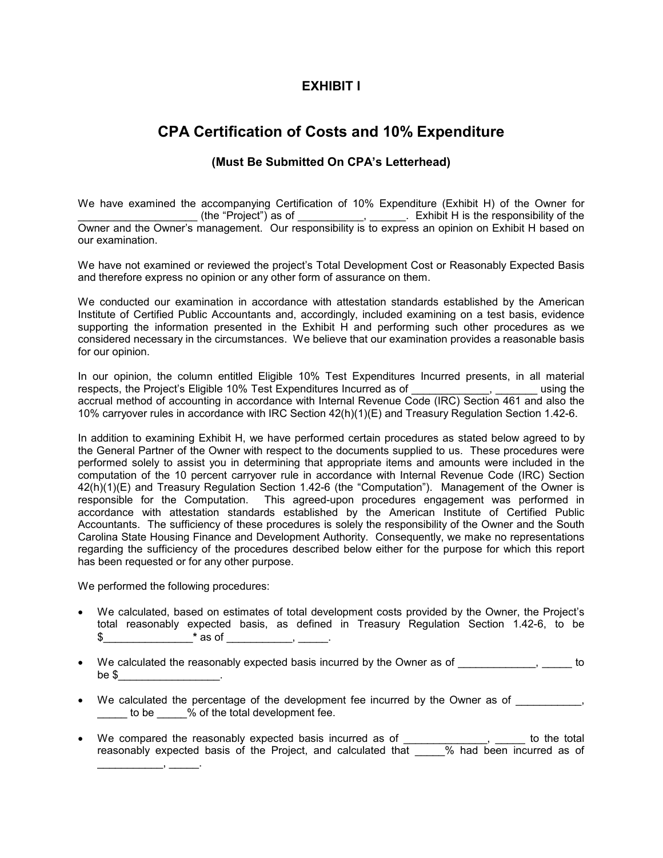## **EXHIBIT I**

# **CPA Certification of Costs and 10% Expenditure**

### **(Must Be Submitted On CPA's Letterhead)**

We have examined the accompanying Certification of 10% Expenditure (Exhibit H) of the Owner for \_\_\_\_\_\_\_\_\_\_\_\_\_\_\_\_\_\_\_\_\_\_\_\_\_ (the "Project") as of \_\_\_\_\_\_\_\_\_\_\_\_\_, \_\_\_\_\_\_. Exhibit H is the responsibility of the Owner and the Owner's management. Our responsibility is to express an opinion on Exhibit H based on our examination.

We have not examined or reviewed the project's Total Development Cost or Reasonably Expected Basis and therefore express no opinion or any other form of assurance on them.

We conducted our examination in accordance with attestation standards established by the American Institute of Certified Public Accountants and, accordingly, included examining on a test basis, evidence supporting the information presented in the Exhibit H and performing such other procedures as we considered necessary in the circumstances. We believe that our examination provides a reasonable basis for our opinion.

In our opinion, the column entitled Eligible 10% Test Expenditures Incurred presents, in all material respects, the Project's Eligible 10% Test Expenditures Incurred as of \_\_\_\_\_\_\_\_\_\_\_\_\_, \_\_\_\_\_\_\_ using the accrual method of accounting in accordance with Internal Revenue Code (IRC) Section 461 and also the 10% carryover rules in accordance with IRC Section 42(h)(1)(E) and Treasury Regulation Section 1.42-6.

In addition to examining Exhibit H, we have performed certain procedures as stated below agreed to by the General Partner of the Owner with respect to the documents supplied to us. These procedures were performed solely to assist you in determining that appropriate items and amounts were included in the computation of the 10 percent carryover rule in accordance with Internal Revenue Code (IRC) Section 42(h)(1)(E) and Treasury Regulation Section 1.42-6 (the "Computation"). Management of the Owner is responsible for the Computation. This agreed-upon procedures engagement was performed in accordance with attestation standards established by the American Institute of Certified Public Accountants. The sufficiency of these procedures is solely the responsibility of the Owner and the South Carolina State Housing Finance and Development Authority. Consequently, we make no representations regarding the sufficiency of the procedures described below either for the purpose for which this report has been requested or for any other purpose.

We performed the following procedures:

\_\_\_\_\_\_\_\_\_\_\_, \_\_\_\_\_.

- We calculated, based on estimates of total development costs provided by the Owner, the Project's total reasonably expected basis, as defined in Treasury Regulation Section 1.42-6, to be \$\_\_\_\_\_\_\_\_\_\_\_\_\_\_\_**\*** as of \_\_\_\_\_\_\_\_\_\_\_, \_\_\_\_\_.
- We calculated the reasonably expected basis incurred by the Owner as of  $\qquad \qquad$ be  $\$$
- We calculated the percentage of the development fee incurred by the Owner as of \_\_\_\_\_\_\_\_\_, to be 300 % of the total development fee.
- We compared the reasonably expected basis incurred as of \_\_\_\_\_\_\_\_\_\_\_\_\_\_, \_\_\_\_\_\_ to the total reasonably expected basis of the Project, and calculated that \_\_\_\_\_% had been incurred as of